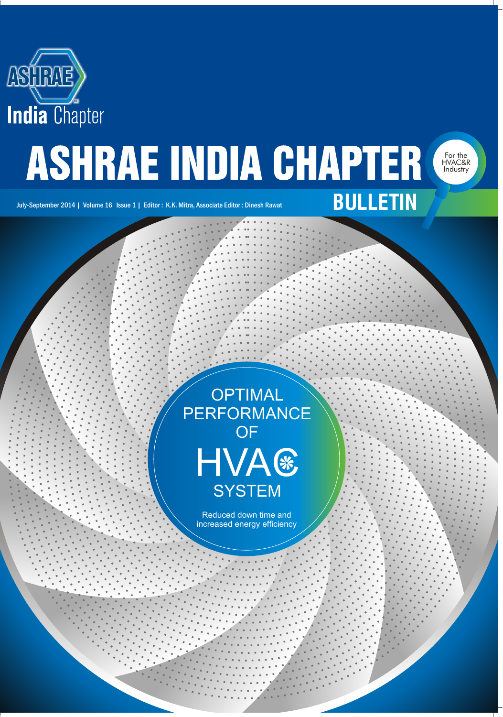

# **ASHRAE INDIA CHAPTER**

HVAC&R Industry

July-September 2014 | Volume 16 Issue 1 | Editor : K.K. Mitra, Associate Editor : Dinesh Rawat **BULLETIN** 

**OPTIMAL** PERFORMANCE OF **HVA® SYSTEM** 

> Reduced down time and increased energy efficiency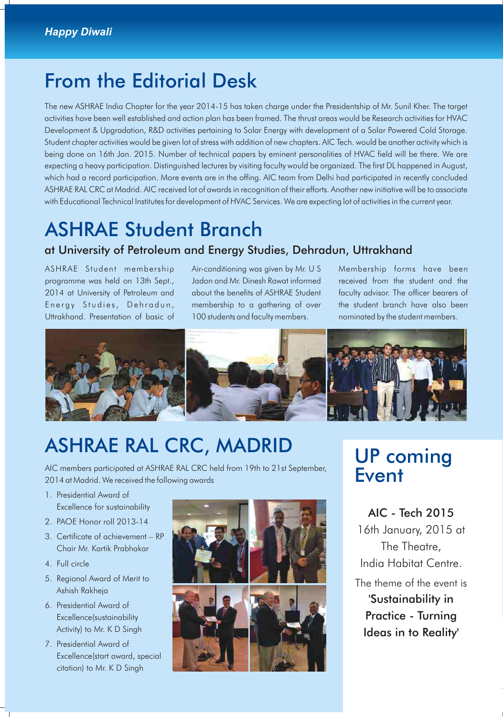### From the Editorial Desk

The new ASHRAE India Chapter for the year 2014-15 has taken charge under the Presidentship of Mr. Sunil Kher. The target activities have been well established and action plan has been framed. The thrust areas would be Research activities for HVAC Development & Upgradation, R&D activities pertaining to Solar Energy with development of a Solar Powered Cold Storage. Student chapter activities would be given lot of stress with addition of new chapters. AIC Tech. would be another activity which is being done on 16th Jan. 2015. Number of technical papers by eminent personalities of HVAC field will be there. We are expecting a heavy participation. Distinguished lectures by visiting faculty would be organized. The first DL happened in August, which had a record participation. More events are in the offing. AIC team from Delhi had participated in recently concluded ASHRAE RAL CRC at Madrid. AIC received lot of awards in recognition of their efforts. Another new initiative will be to associate with Educational Technical Institutes for development of HVAC Services. We are expecting lot of activities in the current year.

### ASHRAE Student Branch

### at University of Petroleum and Energy Studies, Dehradun, Uttrakhand

ASHRAE Student membership Air-conditioning was given by Mr. U S Membership forms have been programme was held on 13th Sept., Jadon and Mr. Dinesh Rawat informed received from the student and the 2014 at University of Petroleum and about the benefits of ASHRAE Student faculty advisor. The officer bearers of Energy Studies, Dehradun, membership to a gathering of over the student branch have also been

Uttrakhand. Presentation of basic of 100 students and faculty members. nominated by the student members.



# ASHRAE RAL CRC, MADRID UP coming

AIC members participated at ASHRAE RAL CRC held from 19th to 21st September, 2014 at Madrid. We received the following awards

- 1. Presidential Award of Excellence for sustainability
- 2. PAOE Honor roll 2013-14
- 3. Certificate of achievement RP Chair Mr. Kartik Prabhakar
- 4. Full circle
- 5. Regional Award of Merit to Ashish Rakheja
- 6. Presidential Award of Excellence(sustainability Activity) to Mr. K D Singh
- 7. Presidential Award of Excellence(start award, special citation) to Mr. K D Singh



# **Event**

AIC - Tech 2015 16th January, 2015 at The Theatre, India Habitat Centre. The theme of the event is 'Sustainability in Practice - Turning Ideas in to Reality'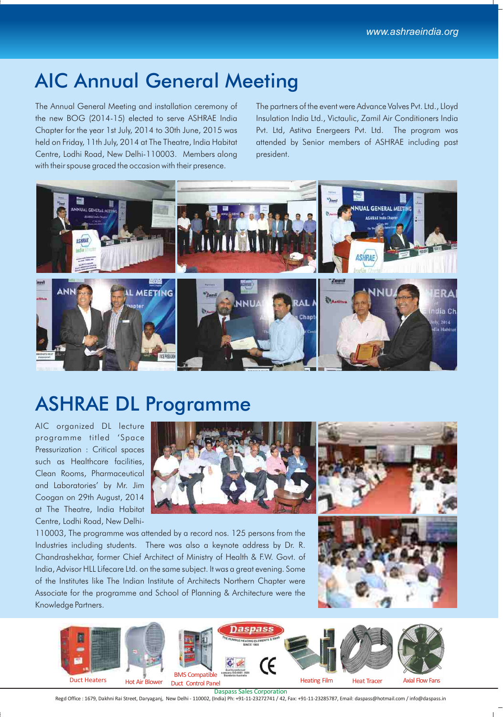### AIC Annual General Meeting

The Annual General Meeting and installation ceremony of The partners of the event were Advance Valves Pvt. Ltd., Lloyd the new BOG (2014-15) elected to serve ASHRAE India Insulation India Ltd., Victaulic, Zamil Air Conditioners India Chapter for the year 1st July, 2014 to 30th June, 2015 was Pvt. Ltd, Astitva Energeers Pvt. Ltd. The program was held on Friday, 11th July, 2014 at The Theatre, India Habitat attended by Senior members of ASHRAE including past Centre, Lodhi Road, New Delhi-110003. Members along president. with their spouse graced the occasion with their presence.



## ASHRAE DL Programme

AIC organized DL lecture programme titled 'Space Pressurization : Critical spaces such as Healthcare facilities, Clean Rooms, Pharmaceutical and Laboratories' by Mr. Jim Coogan on 29th August, 2014 at The Theatre, India Habitat Centre, Lodhi Road, New Delhi-





110003, The programme was attended by a record nos. 125 persons from the Industries including students. There was also a keynote address by Dr. R. Chandrashekhar, former Chief Architect of Ministry of Health & F.W. Govt. of India, Advisor HLL Lifecare Ltd. on the same subject. It was a great evening. Some of the Institutes like The Indian Institute of Architects Northern Chapter were Associate for the programme and School of Planning & Architecture were the Knowledge Partners.



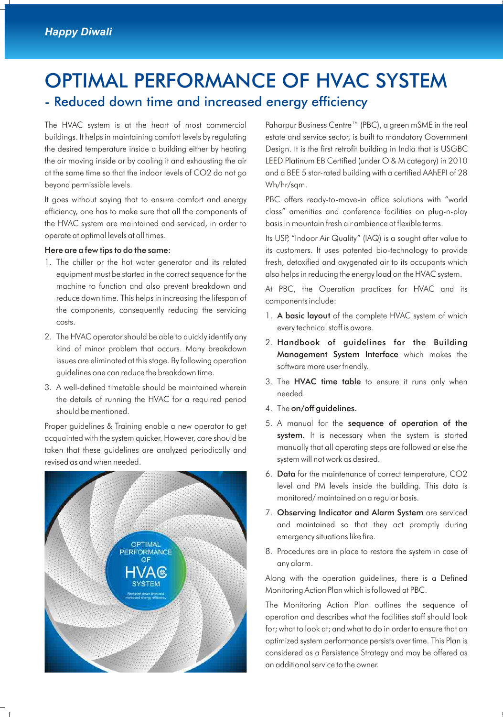### OPTIMAL PERFORMANCE OF HVAC SYSTEM - Reduced down time and increased energy efficiency

buildings. It helps in maintaining comfort levels by regulating estate and service sector, is built to mandatory Government the desired temperature inside a building either by heating Design. It is the first retrofit building in India that is USGBC the air moving inside or by cooling it and exhausting the air LEED Platinum EB Certified (under O & M category) in 2010 at the same time so that the indoor levels of CO2 do not go and a BEE 5 star-rated building with a certified AAhEPI of 28 beyond permissible levels. Why heyond permissible levels.

efficiency, one has to make sure that all the components of class" amenities and conference facilities on plug-n-play the HVAC system are maintained and serviced, in order to basis in mountain fresh air ambience at flexible terms. operate at optimal levels at all times. Its USP, "Indoor Air Quality" (IAQ) is a sought after value to

- 1. The chiller or the hot water generator and its related fresh, detoxified and oxygenated air to its occupants which machine to function and also prevent breakdown and At PBC, the Operation practices for HVAC and its reduce down time. This helps in increasing the lifespan of components include: the components, consequently reducing the servicing costs.
- 2. The HVAC operator should be able to quickly identify any and the during the state of guidelines for the Building kind of minor problem that occurs. Many breakdown issues are eliminated at this stage. By following operation software more user friendly.<br>guidelines one can reduce the breakdown time.<br>3. The **HVAC time table** to ensure it runs only when
- 3. A well-defined timetable should be maintained wherein the details of running the HVAC for a required period should be mentioned.  $\overline{a}$  and  $\overline{a}$  are  $\overline{a}$  and  $\overline{a}$  are  $\overline{a}$  are  $\overline{a}$  and  $\overline{a}$  are  $\overline{a}$  are  $\overline{a}$  and  $\overline{a}$  are  $\overline{a}$  are  $\overline{a}$  and  $\overline{a}$  are  $\overline{a}$  are  $\overline{a}$  and  $\overline{a$

acquainted with the system quicker. However, care should be **system.** It is necessary when the system is started<br>taken that these quidelines are analyzed periodically and manually that all operating steps are followed or e taken that these guidelines are analyzed periodically and system will not work as desired. revised as and when needed.



The HVAC system is at the heart of most commercial Paharpur Business Centre™ (PBC), a green mSME in the real

It goes without saying that to ensure comfort and energy PBC offers ready-to-move-in office solutions with "world

Here are a few tips to do the same: its customers. It uses patented bio-technology to provide equipment must be started in the correct sequence for the also helps in reducing the energy load on the HVAC system.

- 1. A basic layout of the complete HVAC system of which every technical staff is aware.
- Management System Interface which makes the
- 
- 
- Proper guidelines & Training enable a new operator to get<br>  $\frac{5. A$  manual for the **sequence of operation of the**<br> **System.** It is necessary when the system is started
	- 6. Data for the maintenance of correct temperature, CO2 level and PM levels inside the building. This data is monitored/ maintained on a regular basis.
	- 7. Observing Indicator and Alarm System are serviced and maintained so that they act promptly during emergency situations like fire.
	- 8. Procedures are in place to restore the system in case of any alarm.

Along with the operation guidelines, there is a Defined Monitoring Action Plan which is followed at PBC.

The Monitoring Action Plan outlines the sequence of operation and describes what the facilities staff should look for; what to look at; and what to do in order to ensure that an optimized system performance persists over time. This Plan is considered as a Persistence Strategy and may be offered as an additional service to the owner.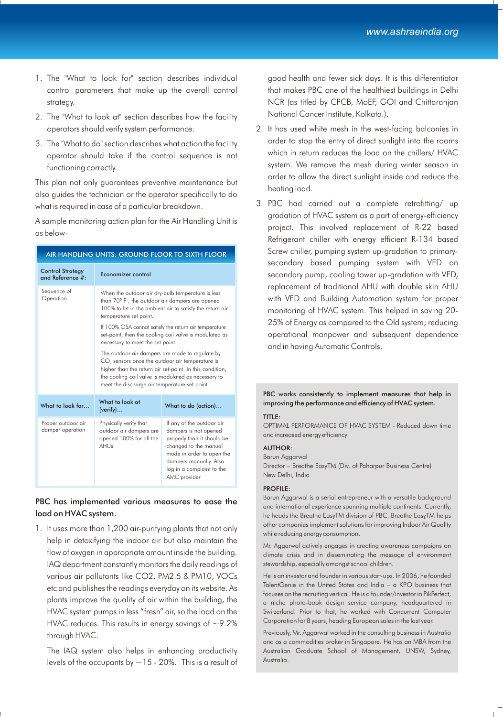- 1. The "What to look for" section describes individual good health and fewer sick days. It is this differentiator control parameters that make up the overall control that makes PBC one of the healthiest buildings in Delhi strategy. NCR (as titled by CPCB, MoEF, GOI and Chittaranjan
- 2. The "What to look at" section describes how the facility National Cancer Institute, Kolkata.).
- operator should take if the control sequence is not

This plan not only guarantees preventive maintenance but<br>also guides the technician or the operator specifically to do<br>what is required in case of a particular breakdown<br>3. PBC had carried out a complete retrofitting/ up

A sample monitoring action plan for the Air Handling Unit is as below-

| AIR HANDLING UNITS: GROUND FLOOR TO SIXTH FLOOR |                                                                                                                                                                                                                                                                                    |                                                                                                                                                                                                               |  |
|-------------------------------------------------|------------------------------------------------------------------------------------------------------------------------------------------------------------------------------------------------------------------------------------------------------------------------------------|---------------------------------------------------------------------------------------------------------------------------------------------------------------------------------------------------------------|--|
| <b>Control Strategy</b><br>and Reference #:     | Economizer control                                                                                                                                                                                                                                                                 |                                                                                                                                                                                                               |  |
| Sequence of<br>Operation:                       | When the outdoor air dry-bulb temperature is less<br>than 70° F, the outdoor air dampers are opened<br>100% to let in the ambient air to satisfy the return air<br>temperature set point.                                                                                          |                                                                                                                                                                                                               |  |
|                                                 | If 100% OSA cannot satisfy the return air temperature<br>set-point, then the cooling coil valve is modulated as<br>necessary to meet the set-point.                                                                                                                                |                                                                                                                                                                                                               |  |
|                                                 | The outdoor air dampers are made to regulate by<br>CO <sub>2</sub> sensors once the outdoor air temperature is<br>higher than the return air set-point. In this condition,<br>the cooling coil valve is modulated as necessary to<br>meet the discharge air temperature set-point. |                                                                                                                                                                                                               |  |
| What to look for                                | What to look at<br>(verify)                                                                                                                                                                                                                                                        | What to do (action)                                                                                                                                                                                           |  |
| Proper outdoor air<br>damper operation          | Physically verify that<br>outdoor air dampers are<br>opened 100% for all the<br>AHUs.                                                                                                                                                                                              | If any of the outdoor air<br>dampers is not opened<br>properly than it should be<br>changed to the manual<br>mode in order to open the<br>dampers manually. Also<br>log in a complaint to the<br>AMC provider |  |

#### PBC has implemented various measures to ease the load on HVAC system.

1. It uses more than 1,200 air-purifying plants that not only help in detoxifying the indoor air but also maintain the flow of oxygen in appropriate amount inside the building. IAQ department constantly monitors the daily readings of various air pollutants like CO2, PM2.5 & PM10, VOCs etc and publishes the readings everyday on its website. As plants improve the quality of air within the building, the HVAC system pumps in less "fresh" air, so the load on the HVAC reduces. This results in energy savings of  $\sim$ 9.2% through HVAC.

The IAQ system also helps in enhancing productivity levels of the occupants by  $\sim$  15 - 20%. This is a result of

- operators should verify system performance. 2. It has used white mesh in the west-facing balconies in 3. The "What to do" section describes what action the facility order to stop the entry of direct sunlight into the rooms<br>which in return reduces the load on the chillers/ HVAC system. We remove the mesh during winter season in functioning correctly.
- what is required in case of a particular breakdown.<br>gradation of HVAC system as a part of energy-efficiency project. This involved replacement of R-22 based Refrigerant chiller with energy efficient R-134 based Screw chiller, pumping system up-gradation to primarysecondary based pumping system with VFD on secondary pump, cooling tower up-gradation with VFD, replacement of traditional AHU with double skin AHU with VFD and Building Automation system for proper monitoring of HVAC system. This helped in saving 20- 25% of Energy as compared to the Old system; reducing operational manpower and subsequent dependence and in having Automatic Controls.

PBC works consistently to implement measures that help in improving the performance and efficiency of HVAC system.

#### TITLE:

OPTIMAL PERFORMANCE OF HVAC SYSTEM - Reduced down time and increased energy efficiency

#### AUTHOR:

#### Barun Aggarwal

Director – Breathe EasyTM (Div. of Paharpur Business Centre) New Delhi, India

#### PROFILE:

Barun Aggarwal is a serial entrepreneur with a versatile background and international experience spanning multiple continents. Currently, he heads the Breathe EasyTM division of PBC. Breathe EasyTM helps other companies implement solutions for improving Indoor Air Quality while reducing energy consumption.

Mr. Aggarwal actively engages in creating awareness campaigns on climate crisis and in disseminating the message of environment stewardship, especially amongst school children.

He is an investor and founder in various start-ups. In 2006, he founded TalentGenie in the United States and India – a KPO business that focuses on the recruiting vertical. He is a founder/investor in PikPerfect, a niche photo-book design service company, headquartered in Switzerland. Prior to that, he worked with Concurrent Computer Corporation for 8 years, heading European sales in the last year.

Previously, Mr. Aggarwal worked in the consulting business in Australia and as a commodities broker in Singapore. He has an MBA from the Australian Graduate School of Management, UNSW, Sydney, Australia.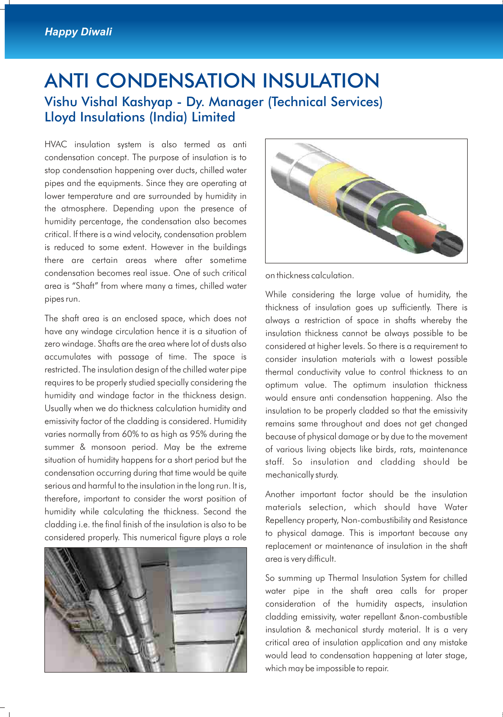### ANTI CONDENSATION INSULATION Vishu Vishal Kashyap - Dy. Manager (Technical Services) Lloyd Insulations (India) Limited

HVAC insulation system is also termed as anti condensation concept. The purpose of insulation is to stop condensation happening over ducts, chilled water pipes and the equipments. Since they are operating at lower temperature and are surrounded by humidity in the atmosphere. Depending upon the presence of humidity percentage, the condensation also becomes critical. If there is a wind velocity, condensation problem is reduced to some extent. However in the buildings there are certain areas where after sometime condensation becomes real issue. One of such critical on thickness calculation. area is "Shaft" from where many a times, chilled water pipes run. **Example 20** of the pipes run.

The shaft area is an enclosed space, which does not always a restriction of space in shafts whereby the have any windage circulation hence it is a situation of insulation thickness cannot be always possible to be zero windage. Shafts are the area where lot of dusts also considered at higher levels. So there is a requirement to accumulates with passage of time. The space is consider insulation materials with a lowest possible restricted. The insulation design of the chilled water pipe thermal conductivity value to control thickness to an requires to be properly studied specially considering the optimum value. The optimum insulation thickness humidity and windage factor in the thickness design. would ensure anti condensation happening. Also the Usually when we do thickness calculation humidity and insulation to be properly cladded so that the emissivity emissivity factor of the cladding is considered. Humidity remains same throughout and does not get changed varies normally from 60% to as high as 95% during the because of physical damage or by due to the movement summer & monsoon period. May be the extreme of various living objects like birds, rats, maintenance situation of humidity happens for a short period but the staff. So insulation and cladding should be condensation occurring during that time would be quite mechanically sturdy. serious and harmful to the insulation in the long run. It is, therefore, important to consider the worst position of Another important factor should be the insulation humidity while calculating the thickness. Second the cladding i.e. the final finish of the insulation is also to be<br>considered property, Non-combustibility and Resistance<br>to physical damage. This is important because any considered properly. This numerical figure plays a role





thickness of insulation goes up sufficiently. There is

materials selection, which should have Water replacement or maintenance of insulation in the shaft area is very difficult.

So summing up Thermal Insulation System for chilled water pipe in the shaft area calls for proper consideration of the humidity aspects, insulation cladding emissivity, water repellant &non-combustible insulation & mechanical sturdy material. It is a very critical area of insulation application and any mistake would lead to condensation happening at later stage, which may be impossible to repair.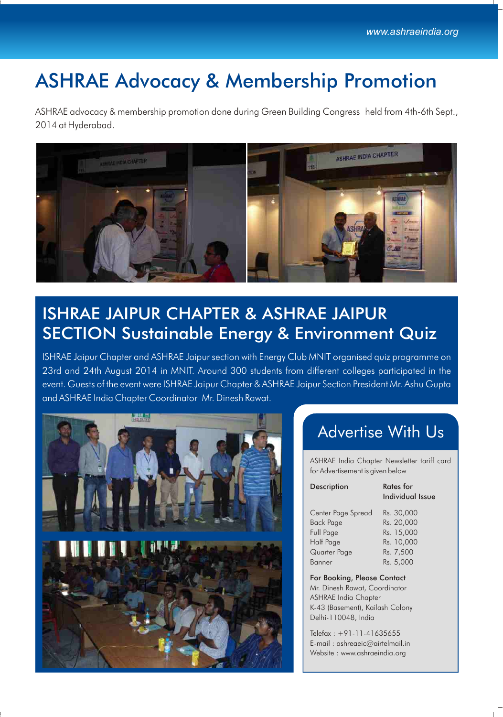# ASHRAE Advocacy & Membership Promotion

ASHRAE advocacy & membership promotion done during Green Building Congress held from 4th-6th Sept., 2014 at Hyderabad.



### ISHRAE JAIPUR CHAPTER & ASHRAE JAIPUR SECTION Sustainable Energy & Environment Quiz

ISHRAE Jaipur Chapter and ASHRAE Jaipur section with Energy Club MNIT organised quiz programme on 23rd and 24th August 2014 in MNIT. Around 300 students from different colleges participated in the event. Guests of the event were ISHRAE Jaipur Chapter & ASHRAE Jaipur Section President Mr. Ashu Gupta and ASHRAE India Chapter Coordinator Mr. Dinesh Rawat.



### Advertise With Us

ASHRAE India Chapter Newsletter tariff card for Advertisement is given below

ue

| Description        | Rates for<br><b>Individual Iss</b> |
|--------------------|------------------------------------|
| Center Page Spread | Rs. 30,000                         |
| <b>Back Page</b>   | Rs. 20,000                         |
| Full Page          | Rs. 15,000                         |
| Half Page          | Rs. 10,000                         |
| Quarter Page       | Rs. 7,500                          |
| Banner             | Rs. 5,000                          |

For Booking, Please Contact Mr. Dinesh Rawat, Coordinator ASHRAE India Chapter K-43 (Basement), Kailash Colony Delhi-110048, India

Telefax : +91-11-41635655 E-mail : ashreaeic@airtelmail.in Website : www.ashraeindia.org